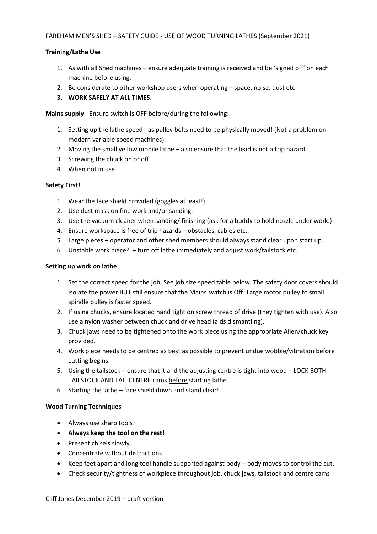# **Training/Lathe Use**

- 1. As with all Shed machines ensure adequate training is received and be 'signed off' on each machine before using.
- 2. Be considerate to other workshop users when operating space, noise, dust etc
- **3. WORK SAFELY AT ALL TIMES.**

**Mains supply** - Ensure switch is OFF before/during the following:-

- 1. Setting up the lathe speed as pulley belts need to be physically moved! (Not a problem on modern variable speed machines).
- 2. Moving the small yellow mobile lathe also ensure that the lead is not a trip hazard.
- 3. Screwing the chuck on or off.
- 4. When not in use.

## **Safety First!**

- 1. Wear the face shield provided (goggles at least!)
- 2. Use dust mask on fine work and/or sanding.
- 3. Use the vacuum cleaner when sanding/ finishing (ask for a buddy to hold nozzle under work.)
- 4. Ensure workspace is free of trip hazards obstacles, cables etc..
- 5. Large pieces operator and other shed members should always stand clear upon start up.
- 6. Unstable work piece? turn off lathe immediately and adjust work/tailstock etc.

## **Setting up work on lathe**

- 1. Set the correct speed for the job. See job size speed table below. The safety door covers should isolate the power BUT still ensure that the Mains switch is Off! Large motor pulley to small spindle pulley is faster speed.
- 2. If using chucks, ensure located hand tight on screw thread of drive (they tighten with use). Also use a nylon washer between chuck and drive head (aids dismantling).
- 3. Chuck jaws need to be tightened onto the work piece using the appropriate Allen/chuck key provided.
- 4. Work piece needs to be centred as best as possible to prevent undue wobble/vibration before cutting begins.
- 5. Using the tailstock ensure that it and the adjusting centre is tight into wood LOCK BOTH TAILSTOCK AND TAIL CENTRE cams before starting lathe.
- 6. Starting the lathe face shield down and stand clear!

# **Wood Turning Techniques**

- Always use sharp tools!
- **Always keep the tool on the rest!**
- Present chisels slowly.
- Concentrate without distractions
- Keep feet apart and long tool handle supported against body body moves to control the cut.
- Check security/tightness of workpiece throughout job, chuck jaws, tailstock and centre cams